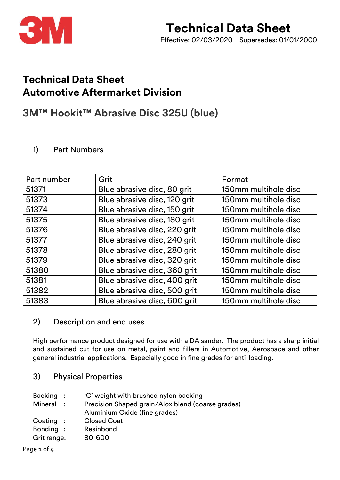

## **Technical Data Sheet Automotive Aftermarket Division**

### **3M™ Hookit™ Abrasive Disc 325U (blue)**

#### 1) Part Numbers

| Part number | Grit                         | Format               |
|-------------|------------------------------|----------------------|
| 51371       | Blue abrasive disc, 80 grit  | 150mm multihole disc |
| 51373       | Blue abrasive disc, 120 grit | 150mm multihole disc |
| 51374       | Blue abrasive disc, 150 grit | 150mm multihole disc |
| 51375       | Blue abrasive disc, 180 grit | 150mm multihole disc |
| 51376       | Blue abrasive disc, 220 grit | 150mm multihole disc |
| 51377       | Blue abrasive disc, 240 grit | 150mm multihole disc |
| 51378       | Blue abrasive disc, 280 grit | 150mm multihole disc |
| 51379       | Blue abrasive disc, 320 grit | 150mm multihole disc |
| 51380       | Blue abrasive disc, 360 grit | 150mm multihole disc |
| 51381       | Blue abrasive disc, 400 grit | 150mm multihole disc |
| 51382       | Blue abrasive disc, 500 grit | 150mm multihole disc |
| 51383       | Blue abrasive disc, 600 grit | 150mm multihole disc |

#### 2) Description and end uses

High performance product designed for use with a DA sander. The product has a sharp initial and sustained cut for use on metal, paint and fillers in Automotive, Aerospace and other general industrial applications. Especially good in fine grades for anti-loading.

3) Physical Properties

| Backing :   |                | 'C' weight with brushed nylon backing             |
|-------------|----------------|---------------------------------------------------|
| Mineral     | $\mathbb{R}^n$ | Precision Shaped grain/Alox blend (coarse grades) |
|             |                | Aluminium Oxide (fine grades)                     |
| Coating:    |                | <b>Closed Coat</b>                                |
| Bonding :   |                | Resinbond                                         |
| Grit range: |                | 80-600                                            |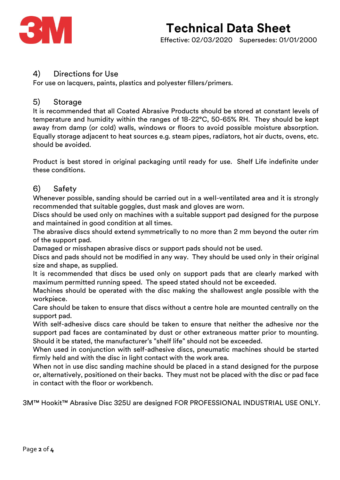

#### 4) Directions for Use

For use on lacquers, paints, plastics and polyester fillers/primers.

#### 5) Storage

It is recommended that all Coated Abrasive Products should be stored at constant levels of temperature and humidity within the ranges of 18-22°C, 50-65% RH. They should be kept away from damp (or cold) walls, windows or floors to avoid possible moisture absorption. Equally storage adjacent to heat sources e.g. steam pipes, radiators, hot air ducts, ovens, etc. should be avoided.

Product is best stored in original packaging until ready for use. Shelf Life indefinite under these conditions.

#### 6) Safety

Whenever possible, sanding should be carried out in a well-ventilated area and it is strongly recommended that suitable goggles, dust mask and gloves are worn.

Discs should be used only on machines with a suitable support pad designed for the purpose and maintained in good condition at all times.

The abrasive discs should extend symmetrically to no more than 2 mm beyond the outer rim of the support pad.

Damaged or misshapen abrasive discs or support pads should not be used.

Discs and pads should not be modified in any way. They should be used only in their original size and shape, as supplied.

It is recommended that discs be used only on support pads that are clearly marked with maximum permitted running speed. The speed stated should not be exceeded.

Machines should be operated with the disc making the shallowest angle possible with the workpiece.

Care should be taken to ensure that discs without a centre hole are mounted centrally on the support pad.

With self-adhesive discs care should be taken to ensure that neither the adhesive nor the support pad faces are contaminated by dust or other extraneous matter prior to mounting. Should it be stated, the manufacturer's "shelf life" should not be exceeded.

When used in conjunction with self-adhesive discs, pneumatic machines should be started firmly held and with the disc in light contact with the work area.

When not in use disc sanding machine should be placed in a stand designed for the purpose or, alternatively, positioned on their backs. They must not be placed with the disc or pad face in contact with the floor or workbench.

3M™ Hookit™ Abrasive Disc 325U are designed FOR PROFESSIONAL INDUSTRIAL USE ONLY.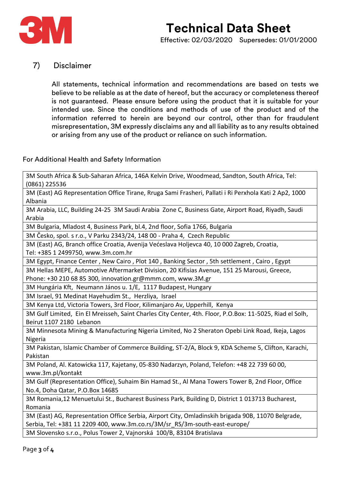

# **Technical Data Sheet**

Effective: 02/03/2020 Supersedes: 01/01/2000

#### 7) Disclaimer

All statements, technical information and recommendations are based on tests we believe to be reliable as at the date of hereof, but the accuracy or completeness thereof is not guaranteed. Please ensure before using the product that it is suitable for your intended use. Since the conditions and methods of use of the product and of the information referred to herein are beyond our control, other than for fraudulent misrepresentation, 3M expressly disclaims any and all liability as to any results obtained or arising from any use of the product or reliance on such information.

#### For Additional Health and Safety Information

3M South Africa & Sub-Saharan Africa, 146A Kelvin Drive, Woodmead, Sandton, South Africa, Tel: (0861) 225536

3M (East) AG Representation Office Tirane, Rruga Sami Frasheri, Pallati i Ri Perxhola Kati 2 Ap2, 1000 Albania

3M Arabia, LLC, Building 24-25 3M Saudi Arabia Zone C, Business Gate, Airport Road, Riyadh, Saudi Arabia

3M Bulgaria, Mladost 4, Business Park, bl.4, 2nd floor, Sofia 1766, Bulgaria

3M Česko, spol. s r.o., V Parku 2343/24, 148 00 - Praha 4, Czech Republic

3M (East) AG, Branch office Croatia, Avenija Većeslava Holjevca 40, 10 000 Zagreb, Croatia, Tel: +385 1 2499750, www.3m.com.hr

3M Egypt, Finance Center , New Cairo , Plot 140 , Banking Sector , 5th settlement , Cairo , Egypt

3M Hellas MEPE, Automotive Aftermarket Division, 20 Kifisias Avenue, 151 25 Marousi, Greece,

Phone: +30 210 68 85 300, innovation.gr@mmm.com, www.3M.gr

3M Hungária Kft, Neumann János u. 1/E, 1117 Budapest, Hungary

3M Israel, 91 Medinat Hayehudim St., Herzliya, Israel

3M Kenya Ltd, Victoria Towers, 3rd Floor, Kilimanjaro Av, Upperhill, Kenya

3M Gulf Limited, Ein El Mreisseh, Saint Charles City Center, 4th. Floor, P.O.Box: 11-5025, Riad el Solh, Beirut 1107 2180 Lebanon

3M Minnesota Mining & Manufacturing Nigeria Limited, No 2 Sheraton Opebi Link Road, Ikeja, Lagos Nigeria

3M Pakistan, Islamic Chamber of Commerce Building, ST-2/A, Block 9, KDA Scheme 5, Clifton, Karachi, Pakistan

3M Poland, Al. Katowicka 117, Kajetany, 05-830 Nadarzyn, Poland, Telefon: +48 22 739 60 00, www.3m.pl/kontakt

3M Gulf (Representation Office), Suhaim Bin Hamad St., Al Mana Towers Tower B, 2nd Floor, Office No.4, Doha Qatar, P.O.Box 14685

3M Romania,12 Menuetului St., Bucharest Business Park, Building D, District 1 013713 Bucharest, Romania

3M (East) AG, Representation Office Serbia, Airport City, Omladinskih brigada 90B, 11070 Belgrade, Serbia, Tel: +381 11 2209 400, www.3m.co.rs/3M/sr\_RS/3m-south-east-europe/

3M Slovensko s.r.o., Polus Tower 2, Vajnorská 100/B, 83104 Bratislava